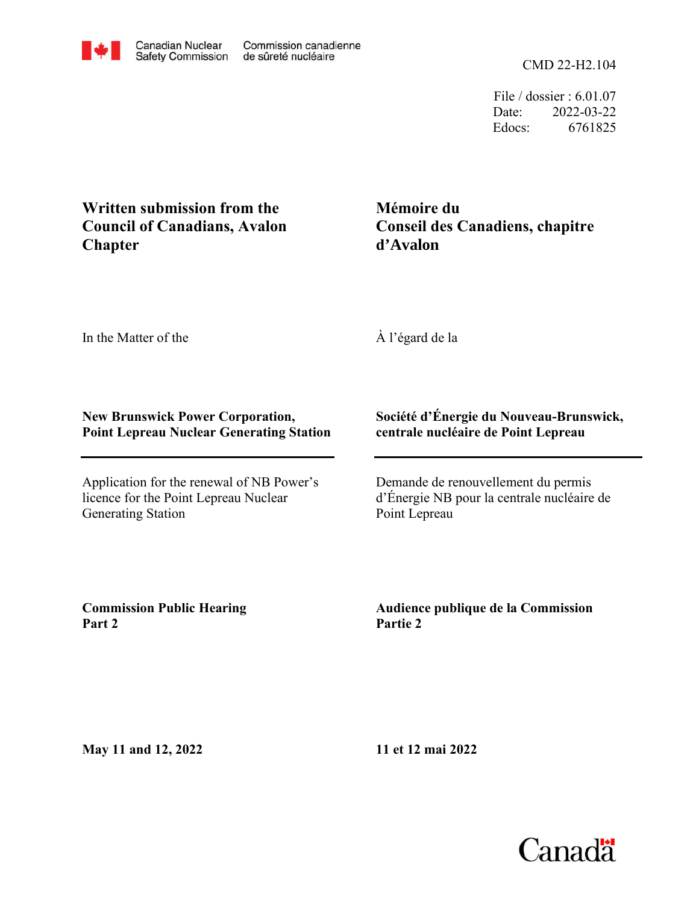File / dossier : 6.01.07 Date: 2022-03-22 Edocs: 6761825

## **Chapter Council of Canadians, Avalon Written submission from the**

**d'Avalon Conseil des Canadiens, chapitre Mémoire du**

In the Matter of the

À l'égard de la

## **New Brunswick Power Corporation, Point Lepreau Nuclear Generating Station**

Application for the renewal of NB Power's licence for the Point Lepreau Nuclear Generating Station

## **Société d'Énergie du Nouveau-Brunswick, centrale nucléaire de Point Lepreau**

Demande de renouvellement du permis d'Énergie NB pour la centrale nucléaire de Point Lepreau

**Commission Public Hearing Part 2**

**Audience publique de la Commission Partie 2**

**May 11 and 12, 2022**

**11 et 12 mai 2022**